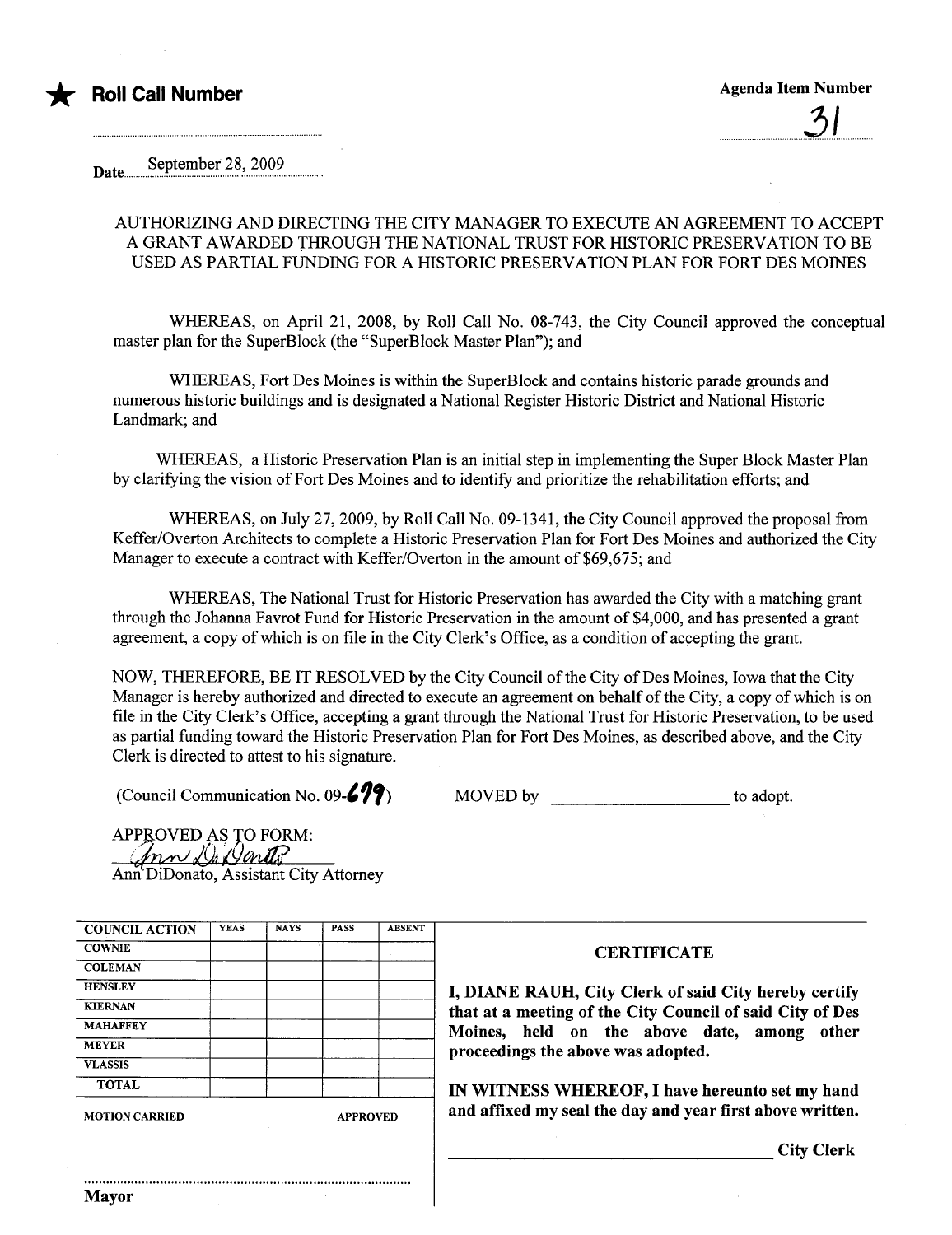

..............!2.I.......

September 28, 2009 Date.

## AUTHORIZING AND DIRECTING THE CITY MANAGER TO EXECUTE AN AGREEMENT TO ACCEPT A GRANT AWARDED THROUGH THE NATIONAL TRUST FOR HISTORIC PRESERVATION TO BE USED AS PARTIAL FUNDING FOR A HISTORIC PRESERVATION PLAN FOR FORT DES MOINES

WHREAS, on April 21, 2008, by Roll Call No. 08-743, the City Council approved the conceptual master plan for the SuperBlock (the "SuperBlock Master Plan"); and

WHREAS, Fort Des Moines is within the SuperBlock and contains historic parade grounds and numerous historic buildings and is designated a National Register Historic District and National Historic Landmark; and

WHREAS, a Historic Preservation Plan is an initial step in implementing the Super Block Master Plan by clarifying the vision of Fort Des Moines and to identify and prioritize the rehabilitation efforts; and

WHREAS, on July 27,2009, by Roll Call No. 09-1341, the City Council approved the proposal from Keffer/Overton Architects to complete a Historic Preservation Plan for Fort Des Moines and authorized the City Manager to execute a contract with Keffer/Overton in the amount of \$69,675; and

WHREAS, The National Trust for Historic Preservation has awarded the City with a matching grant through the Johanna Favrot Fund for Historic Preservation in the amount of \$4,000, and has presented a grant agreement, a copy of which is on fie in the City Clerk's Office, as a condition of accepting the grant.

NOW, THEREFORE, BE IT RESOLVED by the City Council of the City of Des Moines, Iowa that the City Manager is hereby authorized and directed to execute an agreement on behalf of the City, a copy of which is on fie in the City Clerk's Office, accepting a grant through the National Trust for Historic Preservation, to be used as partial funding toward the Historic Preservation Plan for Fort Des Moines, as described above, and the City Clerk is directed to attest to his signature.

(Council Communication No.  $09 - 67$ )

| MOVED by |  | to adopt. |
|----------|--|-----------|
|----------|--|-----------|

APPROVED AS TO FORM:  $\ln$  $\sim$  De Darito Ann DiDonato, Assistant City Attorney

|  | <b>CERTIFICATE</b>                                        |
|--|-----------------------------------------------------------|
|  |                                                           |
|  | I, DIANE RAUH, City Clerk of said City hereby certify     |
|  | that at a meeting of the City Council of said City of Des |
|  | Moines, held on the above date, among other               |
|  | proceedings the above was adopted.                        |
|  |                                                           |
|  | IN WITNESS WHEREOF, I have hereunto set my hand           |
|  | and affixed my seal the day and year first above written. |
|  | <b>City Clerk</b>                                         |
|  | <b>APPROVED</b>                                           |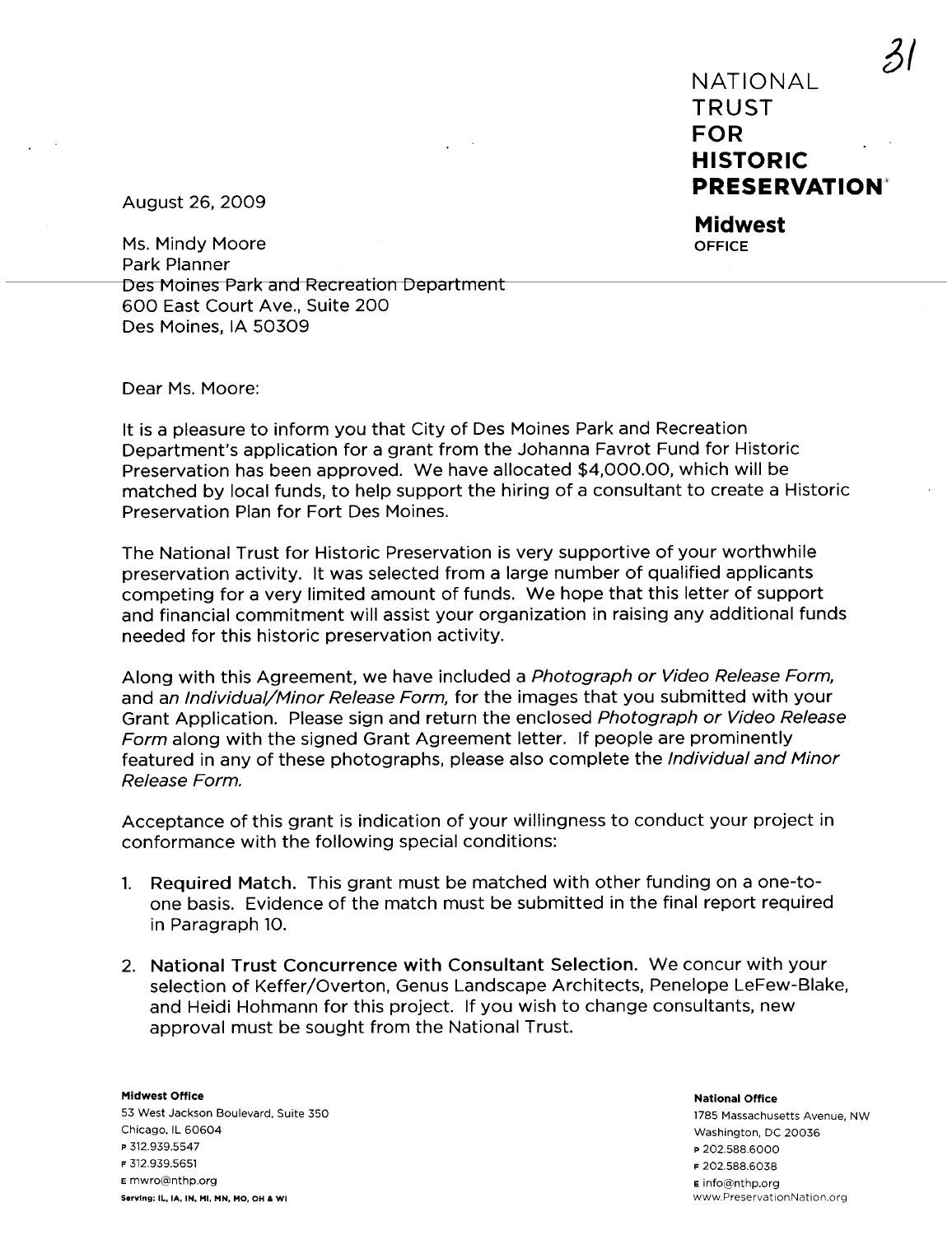NATIONAL TRUST FOR HISTORIC **PRESERVATION**®  $31$ 

Midwest **OFFICE** 

August 26, 2009

Ms. Mindy Moore Park Planner Des Moines Park and Recreation Department 600 East Court Ave., Suite 200 Des Moines, IA 50309

Dear Ms. Moore:

It is a pleasure to inform you that City of Des Moines Park and Recreation Department's application for a grant from the Johanna Favrot Fund for Historic Preservation has been approved. We have allocated \$4,000.00, which will be matched by local funds, to help support the hiring of a consultant to create a Historic Preservation Plan for Fort Des Moines.

The National Trust for Historic Preservation is very supportive of your worthwhile preservation activity. It was selected from a large number of qualified applicants competing for a very limited amount of funds. We hope that this letter of support and financial commitment will assist your organization in raising any additional funds needed for this historic preservation activity.

Along with this Agreement, we have included a Photograph or Video Release Form, and an Individual/Minor Release Form, for the images that you submitted with your Grant Application. Please sign and return the enclosed Photograph or Video Release Form along with the signed Grant Agreement letter. If people are prominently featured in any of these photographs, please also complete the Individual and Minor Release Form.

Acceptance of this grant is indication of your willingness to conduct your project in conformance with the following special conditions:

- 1. Required Match. This grant must be matched with other funding on a one-toone basis. Evidence of the match must be submitted in the final report required in Paragraph 10.
- 2. National Trust Concurrence with Consultant Selection. We concur with your selection of Keffer/Overton, Genus Landscape Architects. Penelope LeFew-Blake, and Heidi Hohmann for this project. If you wish to change consultants, new approval must be sought from the National Trust.

Midwest Office 53 West Jackson Boulevard, Suite 350 Chicago, IL 60604 p 312.939.5547 F 312.939.5651 E mwro¡§nthp.org Serving: IL, lA, IN. MI, MN. MO. OH & Wi www.PreservationNation.org

National Office 1785 Massachusetts Avenue, NW Washington, DC 20036 p 202.588.6000 F 202.588.6038 **E** info@nthp.org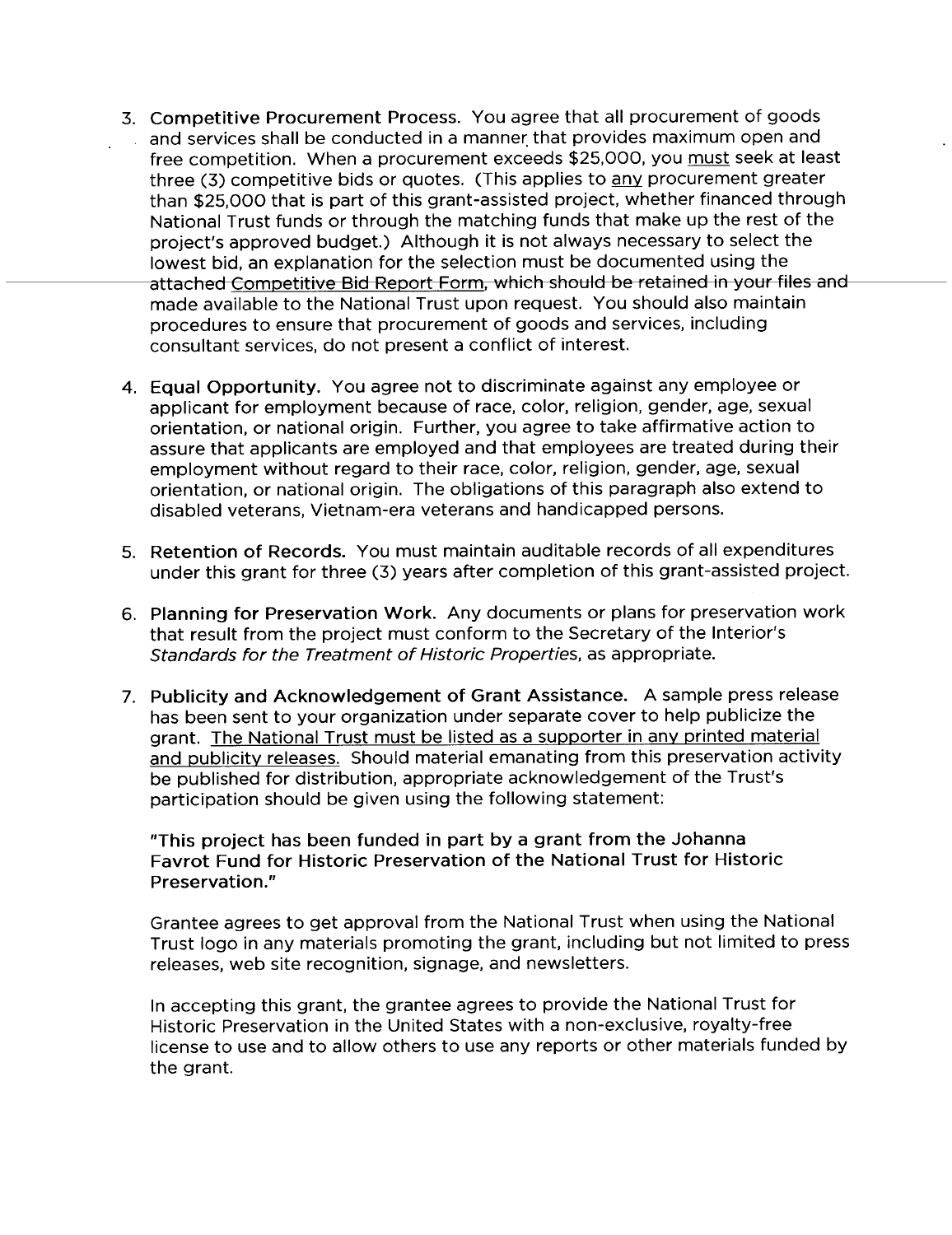- 3. Competitive Procurement Process. You agree that all procurement of goods and services shall be conducted in a manner that provides maximum open and free competition. When a procurement exceeds \$25,000, you must seek at least three (3) competitive bids or quotes. (This applies to any procurement greater than \$25,000 that is part of this grant-assisted project, whether financed through National Trust funds or through the matching funds that make up the rest of the project's approved budget.) Although it is not always necessary to select the lowest bid, an explanation for the selection must be documented using the attached Competitive Bid Report Form, which should be retained in your files and made available to the National Trust upon request. You should also maintain procedures to ensure that procurement of goods and services, including consultant services, do not present a conflict of interest.
- 4. Equal Opportunity. You agree not to discriminate against any employee or applicant for employment because of race, color, religion, gender, age, sexual orientation, or national origin. Further, you agree to take affirmative action to assure that applicants are employed and that employees are treated during their employment without regard to their race, color, religion, gender, age, sexual orientation, or national origin. The obligations of this paragraph also extend to disabled veterans, Vietnam-era veterans and handicapped persons.
- 5. Retention of Records. You must maintain auditable records of all expenditures under this grant for three (3) years after completion of this grant-assisted project.
- 6. Planning for Preservation Work. Any documents or plans for preservation work that result from the project must conform to the Secretary of the Interior's Standards for the Treatment of Historic Properties, as appropriate.
- 7. Publicity and Acknowledgement of Grant Assistance. A sample press release has been sent to your organization under separate cover to help publicize the grant. The National Trust must be listed as a supporter in any printed material and publicity releases. Should material emanating from this preservation activity be published for distribution, appropriate acknowledgement of the Trust's participation should be given using the following statement:

"This project has been funded in part by a grant from the Johanna Favrot Fund for Historic Preservation of the National Trust for Historic Preservation."

Grantee agrees to get approval from the National Trust when using the National Trust logo in any materials promoting the grant, including but not limited to press releases, web site recognition, signage, and newsletters.

In accepting this grant, the grantee agrees to provide the National Trust for Historic Preservation in the United States with a non-exclusive, royalty-free license to use and to allow others to use any reports or other materials funded by the grant.